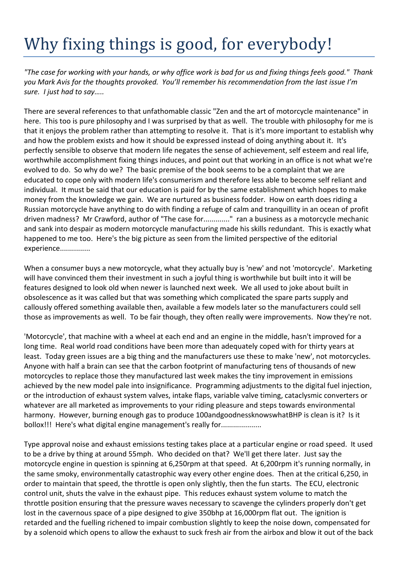## Why fixing things is good, for everybody!

*"The case for working with your hands, or why office work is bad for us and fixing things feels good." Thank you Mark Avis for the thoughts provoked. You'll remember his recommendation from the last issue I'm sure. I just had to say…..*

There are several references to that unfathomable classic "Zen and the art of motorcycle maintenance" in here. This too is pure philosophy and I was surprised by that as well. The trouble with philosophy for me is that it enjoys the problem rather than attempting to resolve it. That is it's more important to establish why and how the problem exists and how it should be expressed instead of doing anything about it. It's perfectly sensible to observe that modern life negates the sense of achievement, self esteem and real life, worthwhile accomplishment fixing things induces, and point out that working in an office is not what we're evolved to do. So why do we? The basic premise of the book seems to be a complaint that we are educated to cope only with modern life's consumerism and therefore less able to become self reliant and individual. It must be said that our education is paid for by the same establishment which hopes to make money from the knowledge we gain. We are nurtured as business fodder. How on earth does riding a Russian motorcycle have anything to do with finding a refuge of calm and tranquillity in an ocean of profit driven madness? Mr Crawford, author of "The case for............." ran a business as a motorcycle mechanic and sank into despair as modern motorcycle manufacturing made his skills redundant. This is exactly what happened to me too. Here's the big picture as seen from the limited perspective of the editorial experience................

When a consumer buys a new motorcycle, what they actually buy is 'new' and not 'motorcycle'. Marketing will have convinced them their investment in such a joyful thing is worthwhile but built into it will be features designed to look old when newer is launched next week. We all used to joke about built in obsolescence as it was called but that was something which complicated the spare parts supply and callously offered something available then, available a few models later so the manufacturers could sell those as improvements as well. To be fair though, they often really were improvements. Now they're not.

'Motorcycle', that machine with a wheel at each end and an engine in the middle, hasn't improved for a long time. Real world road conditions have been more than adequately coped with for thirty years at least. Today green issues are a big thing and the manufacturers use these to make 'new', not motorcycles. Anyone with half a brain can see that the carbon footprint of manufacturing tens of thousands of new motorcycles to replace those they manufactured last week makes the tiny improvement in emissions achieved by the new model pale into insignificance. Programming adjustments to the digital fuel injection, or the introduction of exhaust system valves, intake flaps, variable valve timing, cataclysmic converters or whatever are all marketed as improvements to your riding pleasure and steps towards environmental harmony. However, burning enough gas to produce 100andgoodnessknowswhatBHP is clean is it? Is it bollox!!! Here's what digital engine management's really for....................

Type approval noise and exhaust emissions testing takes place at a particular engine or road speed. It used to be a drive by thing at around 55mph. Who decided on that? We'll get there later. Just say the motorcycle engine in question is spinning at 6,250rpm at that speed. At 6,200rpm it's running normally, in the same smoky, environmentally catastrophic way every other engine does. Then at the critical 6,250, in order to maintain that speed, the throttle is open only slightly, then the fun starts. The ECU, electronic control unit, shuts the valve in the exhaust pipe. This reduces exhaust system volume to match the throttle position ensuring that the pressure waves necessary to scavenge the cylinders properly don't get lost in the cavernous space of a pipe designed to give 350bhp at 16,000rpm flat out. The ignition is retarded and the fuelling richened to impair combustion slightly to keep the noise down, compensated for by a solenoid which opens to allow the exhaust to suck fresh air from the airbox and blow it out of the back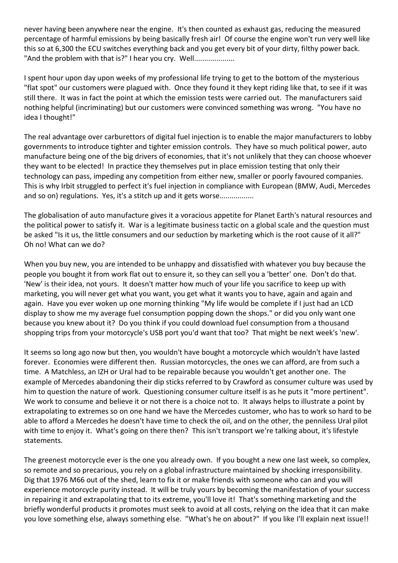never having been anywhere near the engine. It's then counted as exhaust gas, reducing the measured percentage of harmful emissions by being basically fresh air! Of course the engine won't run very well like this so at 6,300 the ECU switches everything back and you get every bit of your dirty, filthy power back. "And the problem with that is?" I hear you cry. Well....................

I spent hour upon day upon weeks of my professional life trying to get to the bottom of the mysterious "flat spot" our customers were plagued with. Once they found it they kept riding like that, to see if it was still there. It was in fact the point at which the emission tests were carried out. The manufacturers said nothing helpful (incriminating) but our customers were convinced something was wrong. "You have no idea I thought!"

The real advantage over carburettors of digital fuel injection is to enable the major manufacturers to lobby governments to introduce tighter and tighter emission controls. They have so much political power, auto manufacture being one of the big drivers of economies, that it's not unlikely that they can choose whoever they want to be elected! In practice they themselves put in place emission testing that only their technology can pass, impeding any competition from either new, smaller or poorly favoured companies. This is why Irbit struggled to perfect it's fuel injection in compliance with European (BMW, Audi, Mercedes and so on) regulations. Yes, it's a stitch up and it gets worse.................

The globalisation of auto manufacture gives it a voracious appetite for Planet Earth's natural resources and the political power to satisfy it. War is a legitimate business tactic on a global scale and the question must be asked "Is it us, the little consumers and our seduction by marketing which is the root cause of it all?" Oh no! What can we do?

When you buy new, you are intended to be unhappy and dissatisfied with whatever you buy because the people you bought it from work flat out to ensure it, so they can sell you a 'better' one. Don't do that. 'New' is their idea, not yours. It doesn't matter how much of your life you sacrifice to keep up with marketing, you will never get what you want, you get what it wants you to have, again and again and again. Have you ever woken up one morning thinking "My life would be complete if I just had an LCD display to show me my average fuel consumption popping down the shops." or did you only want one because you knew about it? Do you think if you could download fuel consumption from a thousand shopping trips from your motorcycle's USB port you'd want that too? That might be next week's 'new'.

It seems so long ago now but then, you wouldn't have bought a motorcycle which wouldn't have lasted forever. Economies were different then. Russian motorcycles, the ones we can afford, are from such a time. A Matchless, an IZH or Ural had to be repairable because you wouldn't get another one. The example of Mercedes abandoning their dip sticks referred to by Crawford as consumer culture was used by him to question the nature of work. Questioning consumer culture itself is as he puts it "more pertinent". We work to consume and believe it or not there is a choice not to. It always helps to illustrate a point by extrapolating to extremes so on one hand we have the Mercedes customer, who has to work so hard to be able to afford a Mercedes he doesn't have time to check the oil, and on the other, the penniless Ural pilot with time to enjoy it. What's going on there then? This isn't transport we're talking about, it's lifestyle statements.

The greenest motorcycle ever is the one you already own. If you bought a new one last week, so complex, so remote and so precarious, you rely on a global infrastructure maintained by shocking irresponsibility. Dig that 1976 M66 out of the shed, learn to fix it or make friends with someone who can and you will experience motorcycle purity instead. It will be truly yours by becoming the manifestation of your success in repairing it and extrapolating that to its extreme, you'll love it! That's something marketing and the briefly wonderful products it promotes must seek to avoid at all costs, relying on the idea that it can make you love something else, always something else. "What's he on about?" If you like I'll explain next issue!!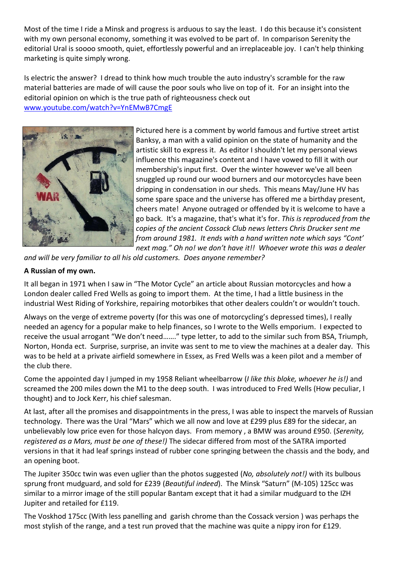Most of the time I ride a Minsk and progress is arduous to say the least. I do this because it's consistent with my own personal economy, something it was evolved to be part of. In comparison Serenity the editorial Ural is soooo smooth, quiet, effortlessly powerful and an irreplaceable joy. I can't help thinking marketing is quite simply wrong.

Is electric the answer? I dread to think how much trouble the auto industry's scramble for the raw material batteries are made of will cause the poor souls who live on top of it. For an insight into the editorial opinion on which is the true path of righteousness check out [www.youtube.com/watch?v=YnEMwB7CmgE](www.youtube.com/watch?v=YnEMwB7CmgE%20)



Pictured here is a comment by world famous and furtive street artist Banksy, a man with a valid opinion on the state of humanity and the artistic skill to express it. As editor I shouldn't let my personal views influence this magazine's content and I have vowed to fill it with our membership's input first. Over the winter however we've all been snuggled up round our wood burners and our motorcycles have been dripping in condensation in our sheds. This means May/June HV has some spare space and the universe has offered me a birthday present, cheers mate! Anyone outraged or offended by it is welcome to have a go back. It's a magazine, that's what it's for. *This is reproduced from the copies of the ancient Cossack Club news letters Chris Drucker sent me from around 1981. It ends with a hand written note which says "Cont' next mag." Oh no! we don't have it!! Whoever wrote this was a dealer* 

*and will be very familiar to all his old customers. Does anyone remember?*

## **A Russian of my own.**

It all began in 1971 when I saw in "The Motor Cycle" an article about Russian motorcycles and how a London dealer called Fred Wells as going to import them. At the time, I had a little business in the industrial West Riding of Yorkshire, repairing motorbikes that other dealers couldn't or wouldn't touch.

Always on the verge of extreme poverty (for this was one of motorcycling's depressed times), I really needed an agency for a popular make to help finances, so I wrote to the Wells emporium. I expected to receive the usual arrogant "We don't need……." type letter, to add to the similar such from BSA, Triumph, Norton, Honda ect. Surprise, surprise, an invite was sent to me to view the machines at a dealer day. This was to be held at a private airfield somewhere in Essex, as Fred Wells was a keen pilot and a member of the club there.

Come the appointed day I jumped in my 1958 Reliant wheelbarrow (*I like this bloke, whoever he is!)* and screamed the 200 miles down the M1 to the deep south. I was introduced to Fred Wells (How peculiar, I thought) and to Jock Kerr, his chief salesman.

At last, after all the promises and disappointments in the press, I was able to inspect the marvels of Russian technology. There was the Ural "Mars" which we all now and love at £299 plus £89 for the sidecar, an unbelievably low price even for those halcyon days. From memory , a BMW was around £950. (*Serenity, registered as a Mars, must be one of these!)* The sidecar differed from most of the SATRA imported versions in that it had leaf springs instead of rubber cone springing between the chassis and the body, and an opening boot.

The Jupiter 350cc twin was even uglier than the photos suggested (*No, absolutely not!)* with its bulbous sprung front mudguard, and sold for £239 (*Beautiful indeed*). The Minsk "Saturn" (M-105) 125cc was similar to a mirror image of the still popular Bantam except that it had a similar mudguard to the IZH Jupiter and retailed for £119.

The Voskhod 175cc (With less panelling and garish chrome than the Cossack version ) was perhaps the most stylish of the range, and a test run proved that the machine was quite a nippy iron for £129.